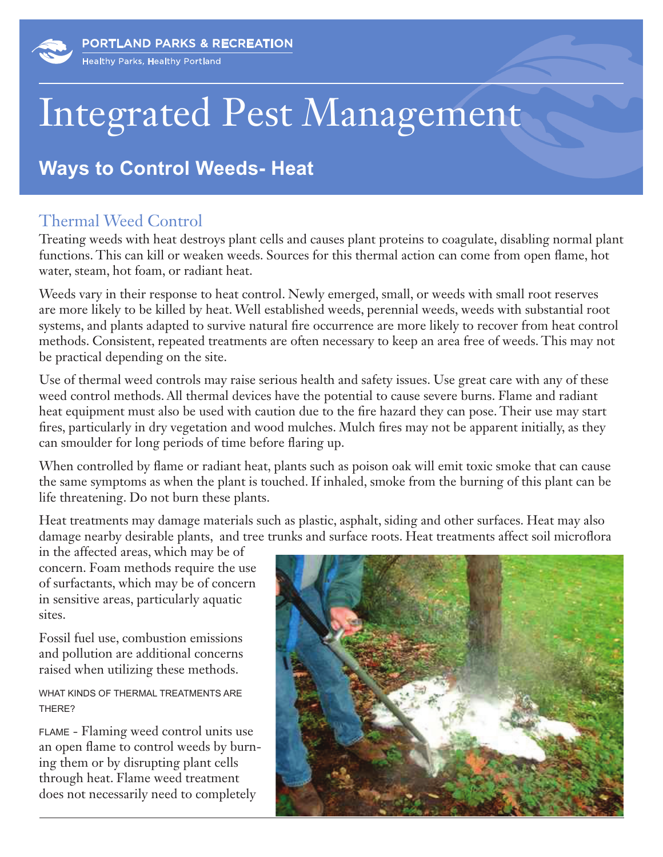## Integrated Pest Management

## **Ways to Control Weeds- Heat**

## Thermal Weed Control

Treating weeds with heat destroys plant cells and causes plant proteins to coagulate, disabling normal plant functions. This can kill or weaken weeds. Sources for this thermal action can come from open flame, hot water, steam, hot foam, or radiant heat.

Weeds vary in their response to heat control. Newly emerged, small, or weeds with small root reserves are more likely to be killed by heat. Well established weeds, perennial weeds, weeds with substantial root systems, and plants adapted to survive natural fire occurrence are more likely to recover from heat control methods. Consistent, repeated treatments are often necessary to keep an area free of weeds. This may not be practical depending on the site.

Use of thermal weed controls may raise serious health and safety issues. Use great care with any of these weed control methods. All thermal devices have the potential to cause severe burns. Flame and radiant heat equipment must also be used with caution due to the fire hazard they can pose. Their use may start fires, particularly in dry vegetation and wood mulches. Mulch fires may not be apparent initially, as they can smoulder for long periods of time before flaring up.

When controlled by flame or radiant heat, plants such as poison oak will emit toxic smoke that can cause the same symptoms as when the plant is touched. If inhaled, smoke from the burning of this plant can be life threatening. Do not burn these plants.

Heat treatments may damage materials such as plastic, asphalt, siding and other surfaces. Heat may also damage nearby desirable plants, and tree trunks and surface roots. Heat treatments affect soil microflora

in the affected areas, which may be of concern. Foam methods require the use of surfactants, which may be of concern in sensitive areas, particularly aquatic sites.

Fossil fuel use, combustion emissions and pollution are additional concerns raised when utilizing these methods.

WHAT KINDS OF THERMAL TREATMENTS ARE THERE?

FLAME - Flaming weed control units use an open flame to control weeds by burning them or by disrupting plant cells through heat. Flame weed treatment does not necessarily need to completely